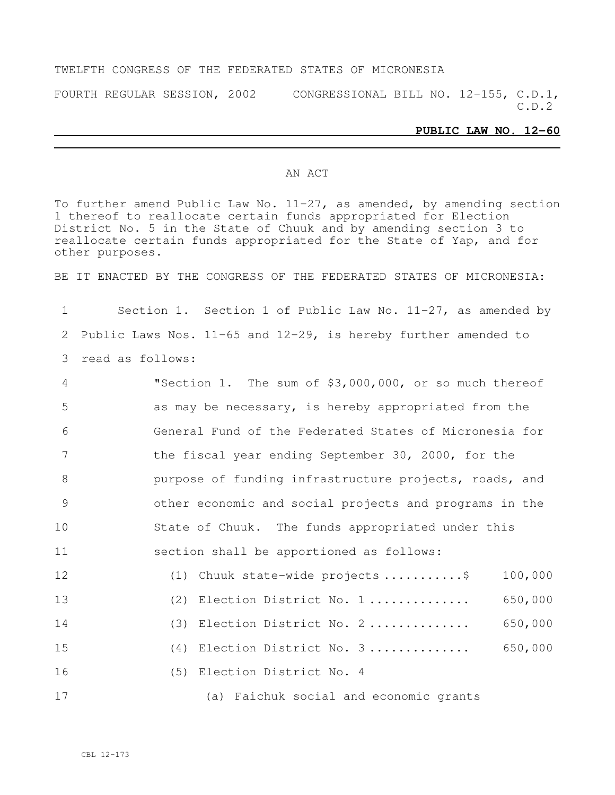#### TWELFTH CONGRESS OF THE FEDERATED STATES OF MICRONESIA

FOURTH REGULAR SESSION, 2002 CONGRESSIONAL BILL NO. 12-155, C.D.1, C.D.2

#### **PUBLIC LAW NO. 12-60**

#### AN ACT

To further amend Public Law No. 11-27, as amended, by amending section thereof to reallocate certain funds appropriated for Election District No. 5 in the State of Chuuk and by amending section 3 to reallocate certain funds appropriated for the State of Yap, and for other purposes.

BE IT ENACTED BY THE CONGRESS OF THE FEDERATED STATES OF MICRONESIA:

 Section 1. Section 1 of Public Law No. 11-27, as amended by Public Laws Nos. 11-65 and 12-29, is hereby further amended to read as follows:

| 4  | "Section 1. The sum of \$3,000,000, or so much thereof |         |
|----|--------------------------------------------------------|---------|
| 5  | as may be necessary, is hereby appropriated from the   |         |
| 6  | General Fund of the Federated States of Micronesia for |         |
| 7  | the fiscal year ending September 30, 2000, for the     |         |
| 8  | purpose of funding infrastructure projects, roads, and |         |
| 9  | other economic and social projects and programs in the |         |
| 10 | State of Chuuk. The funds appropriated under this      |         |
| 11 | section shall be apportioned as follows:               |         |
| 12 | (1) Chuuk state-wide projects \$                       | 100,000 |
| 13 | (2) Election District No. 1                            | 650,000 |
| 14 | (3) Election District No. 2                            | 650,000 |
| 15 | (4) Election District No. 3                            | 650,000 |
| 16 | (5) Election District No. 4                            |         |

(a) Faichuk social and economic grants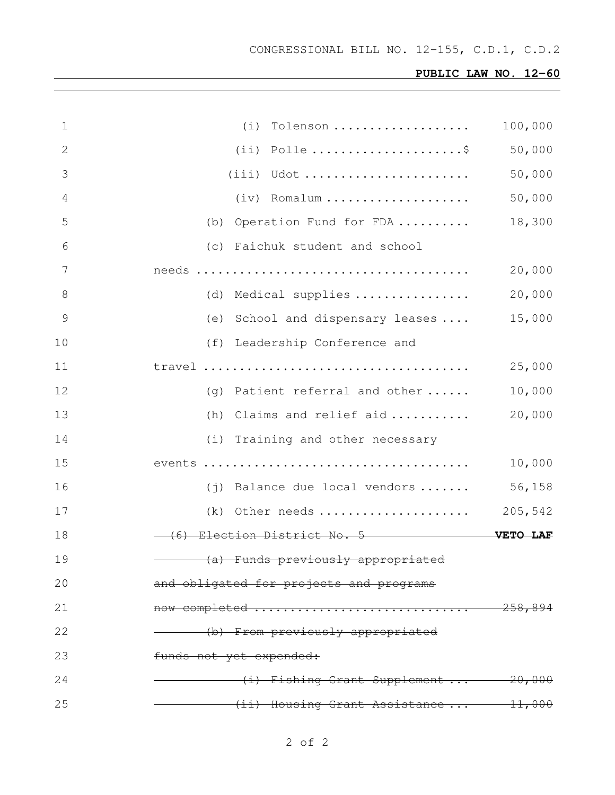## **PUBLIC LAW NO. 12-60**

| $\mathbf 1$    | (i) Tolenson                            | 100,000     |
|----------------|-----------------------------------------|-------------|
| 2              |                                         | 50,000      |
| 3              | $(iii)$ Udot                            | 50,000      |
| 4              | $(iv)$ Romalum                          | 50,000      |
| 5              | (b) Operation Fund for FDA              | 18,300      |
| 6              | (c) Faichuk student and school          |             |
| 7              |                                         | 20,000      |
| 8              | (d) Medical supplies                    | 20,000      |
| $\overline{9}$ | (e) School and dispensary leases        | 15,000      |
| 10             | (f) Leadership Conference and           |             |
| 11             |                                         | 25,000      |
| 12             | (g) Patient referral and other          | 10,000      |
| 13             | (h) Claims and relief aid               | 20,000      |
| 14             | (i) Training and other necessary        |             |
| 15             |                                         | 10,000      |
| 16             | $(j)$ Balance due local vendors         | 56,158      |
| 17             | (k) Other needs                         | 205,542     |
| 18             | (6) Election District No. 5 WETO LAF    |             |
| 19             | (a) Funds previously appropriated       |             |
| 20             | and obligated for projects and programs |             |
| 21             | now completed                           | $-258, 894$ |
| 22             | (b) From previously appropriated        |             |
| 23             | funds not yet expended:                 |             |
| 24             | $(i)$ Fishing Grant Supplement $20,000$ |             |
| 25             | (ii) Housing Grant Assistance 11,000    |             |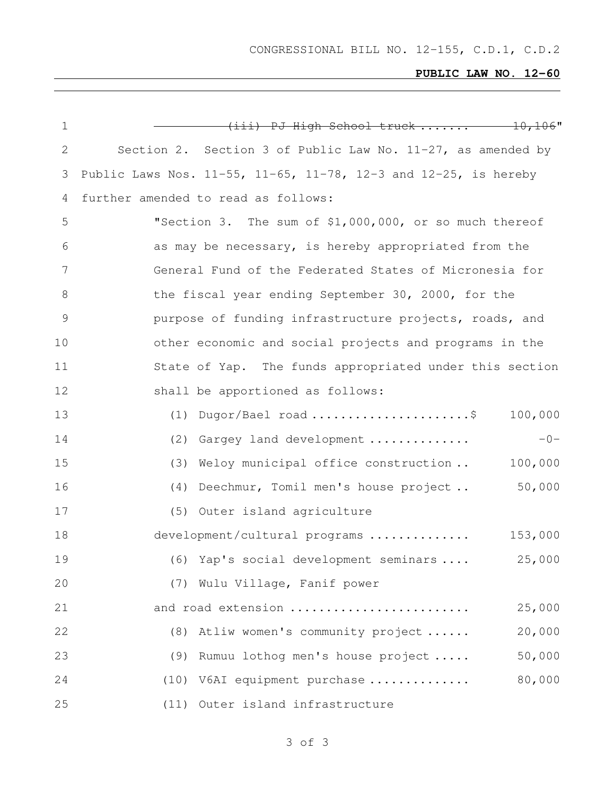CONGRESSIONAL BILL NO. 12-155, C.D.1, C.D.2

## **PUBLIC LAW NO. 12-60**

| $\mathbf 1$   | $(iii)$ PJ High School truck $10,106$ "                                       |
|---------------|-------------------------------------------------------------------------------|
| $\mathbf{2}$  | Section 2. Section 3 of Public Law No. $11-27$ , as amended by                |
| 3             | Public Laws Nos. $11-55$ , $11-65$ , $11-78$ , $12-3$ and $12-25$ , is hereby |
| 4             | further amended to read as follows:                                           |
| 5             | "Section 3. The sum of \$1,000,000, or so much thereof                        |
| 6             | as may be necessary, is hereby appropriated from the                          |
| 7             | General Fund of the Federated States of Micronesia for                        |
| 8             | the fiscal year ending September 30, 2000, for the                            |
| $\mathcal{G}$ | purpose of funding infrastructure projects, roads, and                        |
| 10            | other economic and social projects and programs in the                        |
| 11            | State of Yap. The funds appropriated under this section                       |
| 12            | shall be apportioned as follows:                                              |
| 13            | $(1)$ Dugor/Bael road \$<br>100,000                                           |
| 14            | $-0-$<br>(2) Gargey land development                                          |
| 15            | Weloy municipal office construction<br>100,000<br>(3)                         |
| 16            | 50,000<br>(4) Deechmur, Tomil men's house project                             |
| 17            | (5) Outer island agriculture                                                  |
| 18            | development/cultural programs<br>153,000                                      |
| 19            | 25,000<br>(6) Yap's social development seminars                               |
| 20            | (7) Wulu Village, Fanif power                                                 |
| 21            | 25,000<br>and road extension                                                  |
| 22            | 20,000<br>(8) Atliw women's community project                                 |
| 23            | 50,000<br>(9) Rumuu lothog men's house project                                |
| 24            | 80,000<br>(10) V6AI equipment purchase                                        |
| 25            | (11) Outer island infrastructure                                              |

# of 3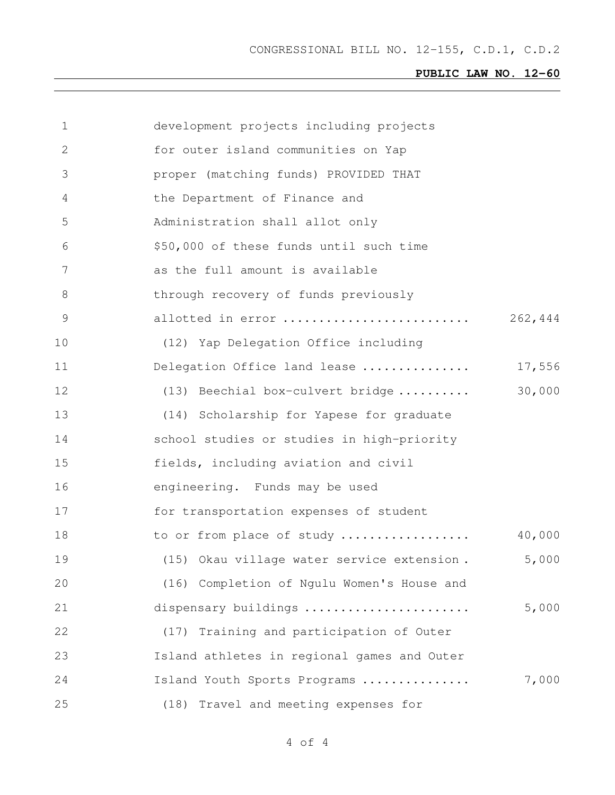CONGRESSIONAL BILL NO. 12-155, C.D.1, C.D.2

## **PUBLIC LAW NO. 12-60**

| 1  | development projects including projects     |         |
|----|---------------------------------------------|---------|
| 2  | for outer island communities on Yap         |         |
| 3  | proper (matching funds) PROVIDED THAT       |         |
| 4  | the Department of Finance and               |         |
| 5  | Administration shall allot only             |         |
| 6  | \$50,000 of these funds until such time     |         |
| 7  | as the full amount is available             |         |
| 8  | through recovery of funds previously        |         |
| 9  | allotted in error                           | 262,444 |
| 10 | (12) Yap Delegation Office including        |         |
| 11 | Delegation Office land lease                | 17,556  |
| 12 | (13) Beechial box-culvert bridge            | 30,000  |
| 13 | (14) Scholarship for Yapese for graduate    |         |
| 14 | school studies or studies in high-priority  |         |
| 15 | fields, including aviation and civil        |         |
| 16 | engineering. Funds may be used              |         |
| 17 | for transportation expenses of student      |         |
| 18 | to or from place of study                   | 40,000  |
| 19 | (15) Okau village water service extension.  | 5,000   |
| 20 | (16) Completion of Ngulu Women's House and  |         |
| 21 | dispensary buildings                        | 5,000   |
| 22 | (17) Training and participation of Outer    |         |
| 23 | Island athletes in regional games and Outer |         |
| 24 | Island Youth Sports Programs                | 7,000   |
| 25 | Travel and meeting expenses for<br>(18)     |         |

of 4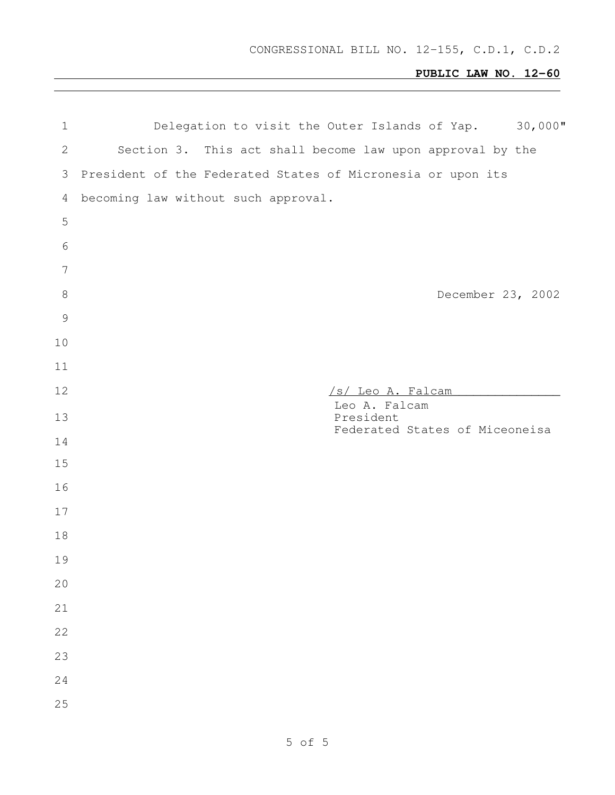## **PUBLIC LAW NO. 12-60**

| $\mathbf 1$    | Delegation to visit the Outer Islands of Yap. 30,000"       |
|----------------|-------------------------------------------------------------|
| $\mathbf{2}$   | Section 3. This act shall become law upon approval by the   |
| 3              | President of the Federated States of Micronesia or upon its |
| 4              | becoming law without such approval.                         |
| 5              |                                                             |
| $6\,$          |                                                             |
| $\overline{7}$ |                                                             |
| $\,8\,$        | December 23, 2002                                           |
| $\mathcal{G}$  |                                                             |
| 10             |                                                             |
| 11             |                                                             |
| 12             | /s/ Leo A. Falcam                                           |
| 13             | Leo A. Falcam<br>President                                  |
| 14             | Federated States of Miceoneisa                              |
| 15             |                                                             |
| 16             |                                                             |
| 17             |                                                             |
| 18             |                                                             |
| 19             |                                                             |
| 20             |                                                             |
| 21             |                                                             |
| 22             |                                                             |
| 23             |                                                             |
| 24             |                                                             |
| 25             |                                                             |